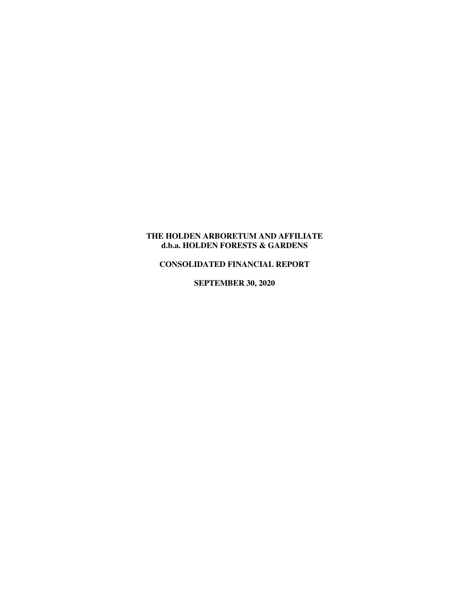#### **THE HOLDEN ARBORETUM AND AFFILIATE d.b.a. HOLDEN FORESTS & GARDENS**

#### **CONSOLIDATED FINANCIAL REPORT**

**SEPTEMBER 30, 2020**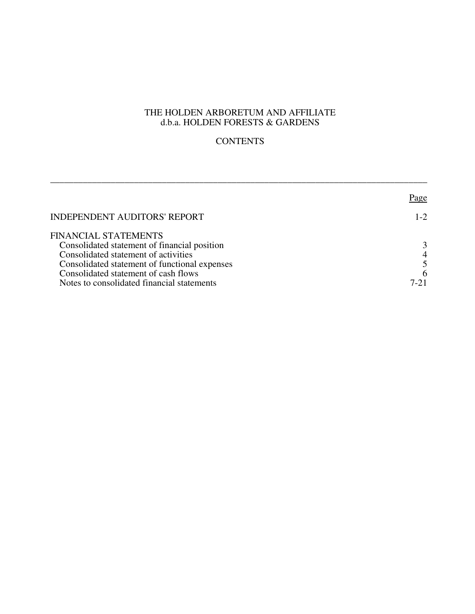# THE HOLDEN ARBORETUM AND AFFILIATE d.b.a. HOLDEN FORESTS & GARDENS

# **CONTENTS**

\_\_\_\_\_\_\_\_\_\_\_\_\_\_\_\_\_\_\_\_\_\_\_\_\_\_\_\_\_\_\_\_\_\_\_\_\_\_\_\_\_\_\_\_\_\_\_\_\_\_\_\_\_\_\_\_\_\_\_\_\_\_\_\_\_\_\_\_\_\_\_\_\_\_\_\_\_\_\_\_\_

|                                               | Page     |
|-----------------------------------------------|----------|
| <b>INDEPENDENT AUDITORS' REPORT</b>           | $1 - 2$  |
| <b>FINANCIAL STATEMENTS</b>                   |          |
| Consolidated statement of financial position  |          |
| Consolidated statement of activities          | 4        |
| Consolidated statement of functional expenses |          |
| Consolidated statement of cash flows          | 6        |
| Notes to consolidated financial statements    | $7 - 21$ |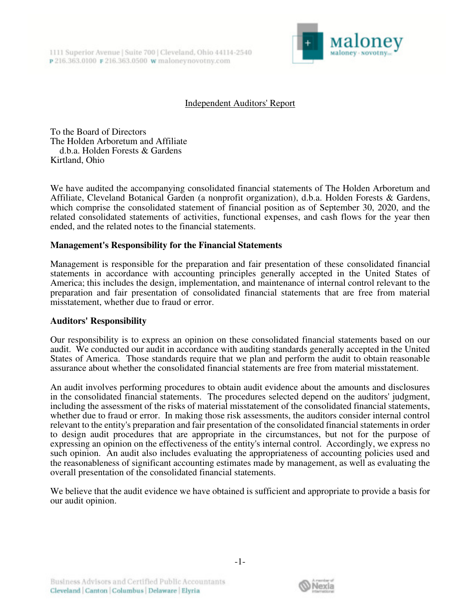

# Independent Auditors' Report

To the Board of Directors The Holden Arboretum and Affiliate d.b.a. Holden Forests & Gardens Kirtland, Ohio

We have audited the accompanying consolidated financial statements of The Holden Arboretum and Affiliate, Cleveland Botanical Garden (a nonprofit organization), d.b.a. Holden Forests & Gardens, which comprise the consolidated statement of financial position as of September 30, 2020, and the related consolidated statements of activities, functional expenses, and cash flows for the year then ended, and the related notes to the financial statements.

# **Management's Responsibility for the Financial Statements**

Management is responsible for the preparation and fair presentation of these consolidated financial statements in accordance with accounting principles generally accepted in the United States of America; this includes the design, implementation, and maintenance of internal control relevant to the preparation and fair presentation of consolidated financial statements that are free from material misstatement, whether due to fraud or error.

#### **Auditors' Responsibility**

Our responsibility is to express an opinion on these consolidated financial statements based on our audit. We conducted our audit in accordance with auditing standards generally accepted in the United States of America. Those standards require that we plan and perform the audit to obtain reasonable assurance about whether the consolidated financial statements are free from material misstatement.

An audit involves performing procedures to obtain audit evidence about the amounts and disclosures in the consolidated financial statements. The procedures selected depend on the auditors' judgment, including the assessment of the risks of material misstatement of the consolidated financial statements, whether due to fraud or error. In making those risk assessments, the auditors consider internal control relevant to the entity's preparation and fair presentation of the consolidated financial statements in order to design audit procedures that are appropriate in the circumstances, but not for the purpose of expressing an opinion on the effectiveness of the entity's internal control. Accordingly, we express no such opinion. An audit also includes evaluating the appropriateness of accounting policies used and the reasonableness of significant accounting estimates made by management, as well as evaluating the overall presentation of the consolidated financial statements.

We believe that the audit evidence we have obtained is sufficient and appropriate to provide a basis for our audit opinion.



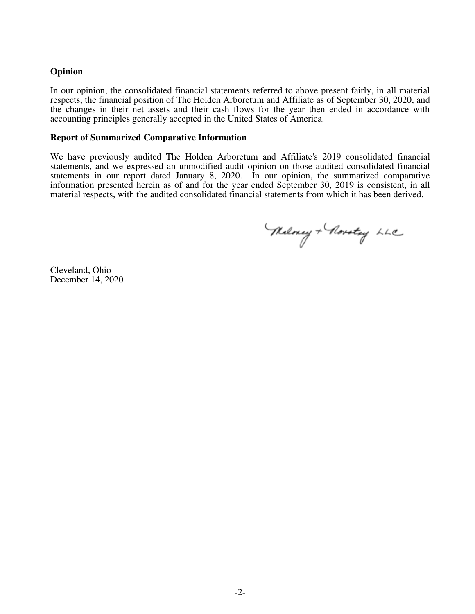# **Opinion**

In our opinion, the consolidated financial statements referred to above present fairly, in all material respects, the financial position of The Holden Arboretum and Affiliate as of September 30, 2020, and the changes in their net assets and their cash flows for the year then ended in accordance with accounting principles generally accepted in the United States of America.

#### **Report of Summarized Comparative Information**

We have previously audited The Holden Arboretum and Affiliate's 2019 consolidated financial statements, and we expressed an unmodified audit opinion on those audited consolidated financial statements in our report dated January 8, 2020. In our opinion, the summarized comparative information presented herein as of and for the year ended September 30, 2019 is consistent, in all material respects, with the audited consolidated financial statements from which it has been derived.

Meloney + Novotry LLC

Cleveland, Ohio December 14, 2020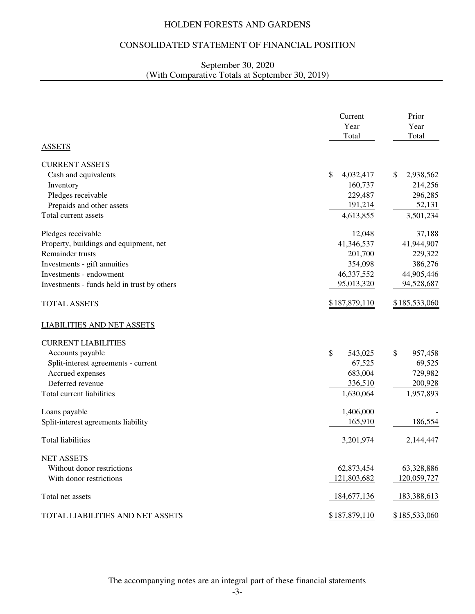# CONSOLIDATED STATEMENT OF FINANCIAL POSITION

#### (With Comparative Totals at September 30, 2019) September 30, 2020

|                                             | Current<br>Year<br>Total | Prior<br>Year<br>Total |
|---------------------------------------------|--------------------------|------------------------|
| <b>ASSETS</b>                               |                          |                        |
| <b>CURRENT ASSETS</b>                       |                          |                        |
| Cash and equivalents                        | \$<br>4,032,417          | \$<br>2,938,562        |
| Inventory                                   | 160,737                  | 214,256                |
| Pledges receivable                          | 229,487                  | 296,285                |
| Prepaids and other assets                   | 191,214                  | 52,131                 |
| Total current assets                        | 4,613,855                | 3,501,234              |
| Pledges receivable                          | 12,048                   | 37,188                 |
| Property, buildings and equipment, net      | 41,346,537               | 41,944,907             |
| Remainder trusts                            | 201,700                  | 229,322                |
| Investments - gift annuities                | 354,098                  | 386,276                |
| Investments - endowment                     | 46,337,552               | 44,905,446             |
| Investments - funds held in trust by others | 95,013,320               | 94,528,687             |
| <b>TOTAL ASSETS</b>                         | \$187,879,110            | \$185,533,060          |
| <b>LIABILITIES AND NET ASSETS</b>           |                          |                        |
| <b>CURRENT LIABILITIES</b>                  |                          |                        |
| Accounts payable                            | \$<br>543,025            | \$<br>957,458          |
| Split-interest agreements - current         | 67,525                   | 69,525                 |
| Accrued expenses                            | 683,004                  | 729,982                |
| Deferred revenue                            | 336,510                  | 200,928                |
| Total current liabilities                   | 1,630,064                | 1,957,893              |
| Loans payable                               | 1,406,000                |                        |
| Split-interest agreements liability         | 165,910                  | 186,554                |
| <b>Total liabilities</b>                    | 3,201,974                | 2,144,447              |
| <b>NET ASSETS</b>                           |                          |                        |
| Without donor restrictions                  | 62,873,454               | 63,328,886             |
| With donor restrictions                     | 121,803,682              | 120,059,727            |
| Total net assets                            | 184, 677, 136            | 183,388,613            |
| TOTAL LIABILITIES AND NET ASSETS            | \$187,879,110            | \$185,533,060          |

The accompanying notes are an integral part of these financial statements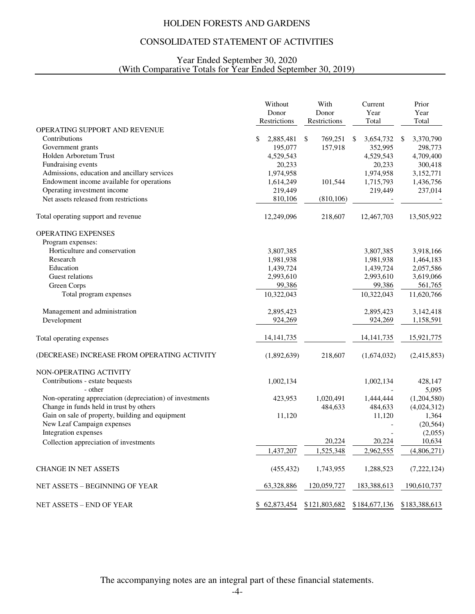# CONSOLIDATED STATEMENT OF ACTIVITIES

#### (With Comparative Totals for Year Ended September 30, 2019) Year Ended September 30, 2020

|                                                          | Without<br>Donor<br>Restrictions | With<br>Donor<br>Restrictions | Current<br>Year<br>Total   | Prior<br>Year<br>Total |
|----------------------------------------------------------|----------------------------------|-------------------------------|----------------------------|------------------------|
| OPERATING SUPPORT AND REVENUE                            |                                  |                               |                            |                        |
| Contributions                                            | \$<br>2,885,481                  | $\mathbb{S}$<br>769,251       | <sup>\$</sup><br>3,654,732 | 3,370,790<br>\$        |
| Government grants                                        | 195,077                          | 157,918                       | 352,995                    | 298,773                |
| Holden Arboretum Trust                                   | 4,529,543                        |                               | 4,529,543                  | 4,709,400              |
| Fundraising events                                       | 20,233                           |                               | 20,233                     | 300,418                |
| Admissions, education and ancillary services             | 1,974,958                        |                               | 1,974,958                  | 3,152,771              |
| Endowment income available for operations                | 1,614,249                        | 101,544                       | 1,715,793                  | 1,436,756              |
| Operating investment income                              | 219,449                          |                               | 219,449                    | 237,014                |
| Net assets released from restrictions                    | 810,106                          | (810, 106)                    |                            |                        |
| Total operating support and revenue                      | 12,249,096                       | 218,607                       | 12,467,703                 | 13,505,922             |
| OPERATING EXPENSES                                       |                                  |                               |                            |                        |
| Program expenses:                                        |                                  |                               |                            |                        |
| Horticulture and conservation                            | 3,807,385                        |                               | 3,807,385                  | 3,918,166              |
| Research                                                 | 1,981,938                        |                               | 1,981,938                  | 1,464,183              |
| Education                                                | 1,439,724                        |                               | 1,439,724                  | 2,057,586              |
| Guest relations                                          | 2,993,610                        |                               | 2,993,610                  | 3,619,066              |
| Green Corps                                              | 99,386                           |                               | 99,386                     | 561,765                |
| Total program expenses                                   | 10,322,043                       |                               | 10,322,043                 | 11,620,766             |
| Management and administration                            | 2,895,423                        |                               | 2,895,423                  | 3,142,418              |
| Development                                              | 924,269                          |                               | 924,269                    | 1,158,591              |
| Total operating expenses                                 | 14, 141, 735                     |                               | 14, 141, 735               | 15,921,775             |
| (DECREASE) INCREASE FROM OPERATING ACTIVITY              | (1,892,639)                      | 218,607                       | (1,674,032)                | (2,415,853)            |
| NON-OPERATING ACTIVITY                                   |                                  |                               |                            |                        |
| Contributions - estate bequests<br>- other               | 1,002,134                        |                               | 1,002,134                  | 428,147<br>5,095       |
| Non-operating appreciation (depreciation) of investments | 423,953                          | 1,020,491                     | 1,444,444                  | (1,204,580)            |
| Change in funds held in trust by others                  |                                  | 484,633                       | 484,633                    | (4,024,312)            |
| Gain on sale of property, building and equipment         | 11,120                           |                               | 11,120                     | 1,364                  |
| New Leaf Campaign expenses                               |                                  |                               |                            | (20, 564)              |
| Integration expenses                                     |                                  |                               |                            | (2,055)                |
| Collection appreciation of investments                   |                                  | 20,224                        | 20,224                     | 10,634                 |
|                                                          | 1,437,207                        | 1,525,348                     | 2,962,555                  | (4,806,271)            |
| <b>CHANGE IN NET ASSETS</b>                              | (455, 432)                       | 1,743,955                     | 1,288,523                  | (7,222,124)            |
| NET ASSETS - BEGINNING OF YEAR                           | 63,328,886                       | 120,059,727                   | 183,388,613                | 190,610,737            |
| NET ASSETS - END OF YEAR                                 | \$62,873,454                     | \$121,803,682                 | \$184,677,136              | \$183,388,613          |

The accompanying notes are an integral part of these financial statements.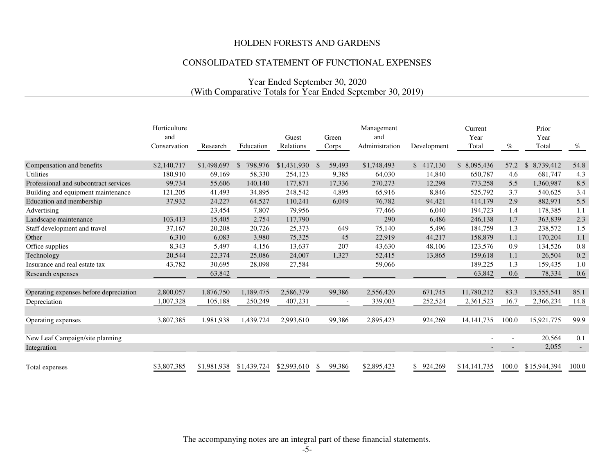# CONSOLIDATED STATEMENT OF FUNCTIONAL EXPENSES

|                                        | Horticulture<br>and<br>Conservation | Research    | Education               | Guest<br>Relations |               | Green<br>Corps | Management<br>and<br>Administration | Development | Current<br>Year<br>Total | $\%$  | Prior<br>Year<br>Total    | $\%$  |
|----------------------------------------|-------------------------------------|-------------|-------------------------|--------------------|---------------|----------------|-------------------------------------|-------------|--------------------------|-------|---------------------------|-------|
| Compensation and benefits              | \$2,140,717                         | \$1,498,697 | 798,976<br><sup>S</sup> | \$1,431,930        | $\mathcal{S}$ | 59,493         | \$1,748,493                         | \$417,130   | \$8,095,436              | 57.2  | 8,739,412<br>$\mathbb{S}$ | 54.8  |
| <b>Utilities</b>                       | 180,910                             | 69,169      | 58,330                  | 254,123            |               | 9,385          | 64,030                              | 14,840      | 650,787                  | 4.6   | 681,747                   | 4.3   |
| Professional and subcontract services  | 99,734                              | 55,606      | 140,140                 | 177,871            |               | 17,336         | 270,273                             | 12,298      | 773,258                  | 5.5   | 1,360,987                 | 8.5   |
| Building and equipment maintenance     | 121,205                             | 41,493      | 34,895                  | 248,542            |               | 4,895          | 65,916                              | 8,846       | 525,792                  | 3.7   | 540,625                   | 3.4   |
| Education and membership               | 37,932                              | 24,227      | 64,527                  | 110,241            |               | 6,049          | 76,782                              | 94,421      | 414,179                  | 2.9   | 882,971                   | 5.5   |
| Advertising                            |                                     | 23,454      | 7,807                   | 79,956             |               |                | 77,466                              | 6,040       | 194,723                  | 1.4   | 178,385                   | 1.1   |
| Landscape maintenance                  | 103,413                             | 15,405      | 2,754                   | 117,790            |               |                | 290                                 | 6,486       | 246,138                  | 1.7   | 363,839                   | 2.3   |
| Staff development and travel           | 37,167                              | 20,208      | 20,726                  | 25,373             |               | 649            | 75,140                              | 5,496       | 184,759                  | 1.3   | 238,572                   | 1.5   |
| Other                                  | 6,310                               | 6,083       | 3,980                   | 75,325             |               | 45             | 22,919                              | 44,217      | 158,879                  | 1.1   | 170,204                   | 1.1   |
| Office supplies                        | 8,343                               | 5,497       | 4,156                   | 13,637             |               | 207            | 43,630                              | 48,106      | 123,576                  | 0.9   | 134,526                   | 0.8   |
| Technology                             | 20,544                              | 22,374      | 25,086                  | 24,007             |               | 1,327          | 52,415                              | 13,865      | 159,618                  | 1.1   | 26,504                    | 0.2   |
| Insurance and real estate tax          | 43,782                              | 30,695      | 28,098                  | 27,584             |               |                | 59,066                              |             | 189,225                  | 1.3   | 159,435                   | 1.0   |
| Research expenses                      |                                     | 63,842      |                         |                    |               |                |                                     |             | 63,842                   | 0.6   | 78,334                    | 0.6   |
| Operating expenses before depreciation | 2,800,057                           | 1,876,750   | 1,189,475               | 2,586,379          |               | 99,386         | 2,556,420                           | 671,745     | 11,780,212               | 83.3  | 13,555,541                | 85.1  |
| Depreciation                           | 1,007,328                           | 105,188     | 250,249                 | 407,231            |               |                | 339,003                             | 252,524     | 2,361,523                | 16.7  | 2,366,234                 | 14.8  |
| Operating expenses                     | 3,807,385                           | 1,981,938   | 1,439,724               | 2,993,610          |               | 99,386         | 2,895,423                           | 924,269     | 14, 141, 735             | 100.0 | 15,921,775                | 99.9  |
| New Leaf Campaign/site planning        |                                     |             |                         |                    |               |                |                                     |             |                          |       | 20,564                    | 0.1   |
| Integration                            |                                     |             |                         |                    |               |                |                                     |             |                          |       | 2,055                     |       |
| Total expenses                         | \$3,807,385                         | \$1,981,938 | \$1,439,724             | \$2,993,610        | \$            | 99,386         | \$2,895,423                         | \$924,269   | \$14,141,735             | 100.0 | \$15,944,394              | 100.0 |

### (With Comparative Totals for Year Ended September 30, 2019) Year Ended September 30, 2020

The accompanying notes are an integral part of these financial statements.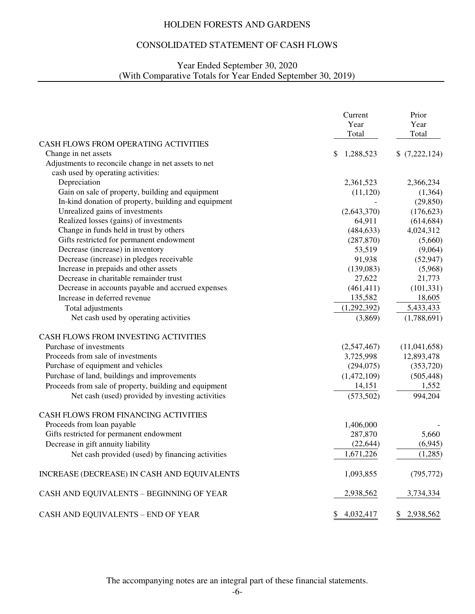# CONSOLIDATED STATEMENT OF CASH FLOWS

# (With Comparative Totals for Year Ended September 30, 2019) Year Ended September 30, 2020

|                                                        | Current<br>Year<br>Total | Prior<br>Year<br>Total |
|--------------------------------------------------------|--------------------------|------------------------|
| CASH FLOWS FROM OPERATING ACTIVITIES                   |                          |                        |
| Change in net assets                                   | 1,288,523<br>\$          | \$(7,222,124)          |
| Adjustments to reconcile change in net assets to net   |                          |                        |
| cash used by operating activities:                     |                          |                        |
| Depreciation                                           | 2,361,523                | 2,366,234              |
| Gain on sale of property, building and equipment       | (11, 120)                | (1,364)                |
| In-kind donation of property, building and equipment   |                          | (29, 850)              |
| Unrealized gains of investments                        | (2,643,370)              | (176, 623)             |
| Realized losses (gains) of investments                 | 64,911                   | (614, 684)             |
| Change in funds held in trust by others                | (484, 633)               | 4,024,312              |
| Gifts restricted for permanent endowment               | (287, 870)               | (5,660)                |
| Decrease (increase) in inventory                       | 53,519                   | (9,064)                |
| Decrease (increase) in pledges receivable              | 91,938                   | (52, 947)              |
| Increase in prepaids and other assets                  | (139,083)                | (5,968)                |
| Decrease in charitable remainder trust                 | 27,622                   | 21,773                 |
| Decrease in accounts payable and accrued expenses      | (461, 411)               | (101, 331)             |
| Increase in deferred revenue                           | 135,582                  | 18,605                 |
| Total adjustments                                      | (1,292,392)              | 5,433,433              |
| Net cash used by operating activities                  | (3,869)                  | (1,788,691)            |
| CASH FLOWS FROM INVESTING ACTIVITIES                   |                          |                        |
| Purchase of investments                                | (2,547,467)              | (11,041,658)           |
| Proceeds from sale of investments                      | 3,725,998                | 12,893,478             |
| Purchase of equipment and vehicles                     | (294, 075)               | (353, 720)             |
| Purchase of land, buildings and improvements           | (1,472,109)              | (505, 448)             |
| Proceeds from sale of property, building and equipment | 14,151                   | 1,552                  |
| Net cash (used) provided by investing activities       | (573, 502)               | 994,204                |
| CASH FLOWS FROM FINANCING ACTIVITIES                   |                          |                        |
| Proceeds from loan payable                             | 1,406,000                |                        |
| Gifts restricted for permanent endowment               | 287,870                  | 5,660                  |
| Decrease in gift annuity liability                     | (22, 644)                | (6,945)                |
| Net cash provided (used) by financing activities       | 1,671,226                | (1,285)                |
| INCREASE (DECREASE) IN CASH AND EQUIVALENTS            | 1,093,855                | (795, 772)             |
| CASH AND EQUIVALENTS - BEGINNING OF YEAR               | 2,938,562                | 3,734,334              |
| CASH AND EQUIVALENTS - END OF YEAR                     | 4,032,417                | 2,938,562              |

The accompanying notes are an integral part of these financial statements.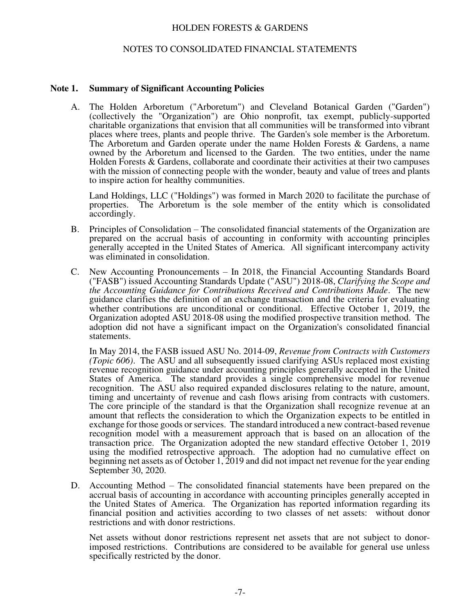#### NOTES TO CONSOLIDATED FINANCIAL STATEMENTS

#### **Note 1. Summary of Significant Accounting Policies**

A. The Holden Arboretum ("Arboretum") and Cleveland Botanical Garden ("Garden") (collectively the "Organization") are Ohio nonprofit, tax exempt, publicly-supported charitable organizations that envision that all communities will be transformed into vibrant places where trees, plants and people thrive. The Garden's sole member is the Arboretum. The Arboretum and Garden operate under the name Holden Forests & Gardens, a name owned by the Arboretum and licensed to the Garden. The two entities, under the name Holden Forests & Gardens, collaborate and coordinate their activities at their two campuses with the mission of connecting people with the wonder, beauty and value of trees and plants to inspire action for healthy communities.

 Land Holdings, LLC ("Holdings") was formed in March 2020 to facilitate the purchase of properties. The Arboretum is the sole member of the entity which is consolidated accordingly.

- B. Principles of Consolidation The consolidated financial statements of the Organization are prepared on the accrual basis of accounting in conformity with accounting principles generally accepted in the United States of America. All significant intercompany activity was eliminated in consolidation.
- C. New Accounting Pronouncements In 2018, the Financial Accounting Standards Board ("FASB") issued Accounting Standards Update ("ASU") 2018-08, *Clarifying the Scope and the Accounting Guidance for Contributions Received and Contributions Made*. The new guidance clarifies the definition of an exchange transaction and the criteria for evaluating whether contributions are unconditional or conditional. Effective October 1, 2019, the Organization adopted ASU 2018-08 using the modified prospective transition method. The adoption did not have a significant impact on the Organization's consolidated financial statements.

 In May 2014, the FASB issued ASU No. 2014-09, *Revenue from Contracts with Customers (Topic 606)*. The ASU and all subsequently issued clarifying ASUs replaced most existing revenue recognition guidance under accounting principles generally accepted in the United States of America. The standard provides a single comprehensive model for revenue recognition. The ASU also required expanded disclosures relating to the nature, amount, timing and uncertainty of revenue and cash flows arising from contracts with customers. The core principle of the standard is that the Organization shall recognize revenue at an amount that reflects the consideration to which the Organization expects to be entitled in exchange for those goods or services. The standard introduced a new contract-based revenue recognition model with a measurement approach that is based on an allocation of the transaction price. The Organization adopted the new standard effective October 1, 2019 using the modified retrospective approach. The adoption had no cumulative effect on beginning net assets as of October 1, 2019 and did not impact net revenue for the year ending September 30, 2020.

D. Accounting Method – The consolidated financial statements have been prepared on the accrual basis of accounting in accordance with accounting principles generally accepted in the United States of America. The Organization has reported information regarding its financial position and activities according to two classes of net assets: without donor restrictions and with donor restrictions.

 Net assets without donor restrictions represent net assets that are not subject to donorimposed restrictions. Contributions are considered to be available for general use unless specifically restricted by the donor.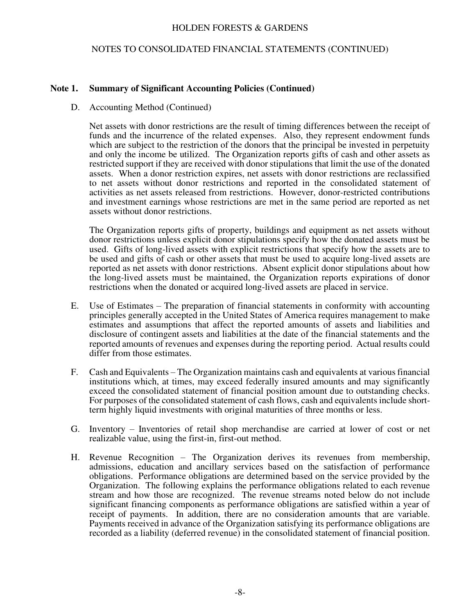# NOTES TO CONSOLIDATED FINANCIAL STATEMENTS (CONTINUED)

# **Note 1. Summary of Significant Accounting Policies (Continued)**

#### D. Accounting Method (Continued)

 Net assets with donor restrictions are the result of timing differences between the receipt of funds and the incurrence of the related expenses. Also, they represent endowment funds which are subject to the restriction of the donors that the principal be invested in perpetuity and only the income be utilized. The Organization reports gifts of cash and other assets as restricted support if they are received with donor stipulations that limit the use of the donated assets. When a donor restriction expires, net assets with donor restrictions are reclassified to net assets without donor restrictions and reported in the consolidated statement of activities as net assets released from restrictions. However, donor-restricted contributions and investment earnings whose restrictions are met in the same period are reported as net assets without donor restrictions.

 The Organization reports gifts of property, buildings and equipment as net assets without donor restrictions unless explicit donor stipulations specify how the donated assets must be used. Gifts of long-lived assets with explicit restrictions that specify how the assets are to be used and gifts of cash or other assets that must be used to acquire long-lived assets are reported as net assets with donor restrictions. Absent explicit donor stipulations about how the long-lived assets must be maintained, the Organization reports expirations of donor restrictions when the donated or acquired long-lived assets are placed in service.

- E. Use of Estimates The preparation of financial statements in conformity with accounting principles generally accepted in the United States of America requires management to make estimates and assumptions that affect the reported amounts of assets and liabilities and disclosure of contingent assets and liabilities at the date of the financial statements and the reported amounts of revenues and expenses during the reporting period. Actual results could differ from those estimates.
- F. Cash and Equivalents The Organization maintains cash and equivalents at various financial institutions which, at times, may exceed federally insured amounts and may significantly exceed the consolidated statement of financial position amount due to outstanding checks. For purposes of the consolidated statement of cash flows, cash and equivalents include shortterm highly liquid investments with original maturities of three months or less.
- G. Inventory Inventories of retail shop merchandise are carried at lower of cost or net realizable value, using the first-in, first-out method.
- H. Revenue Recognition The Organization derives its revenues from membership, admissions, education and ancillary services based on the satisfaction of performance obligations. Performance obligations are determined based on the service provided by the Organization. The following explains the performance obligations related to each revenue stream and how those are recognized. The revenue streams noted below do not include significant financing components as performance obligations are satisfied within a year of receipt of payments. In addition, there are no consideration amounts that are variable. Payments received in advance of the Organization satisfying its performance obligations are recorded as a liability (deferred revenue) in the consolidated statement of financial position.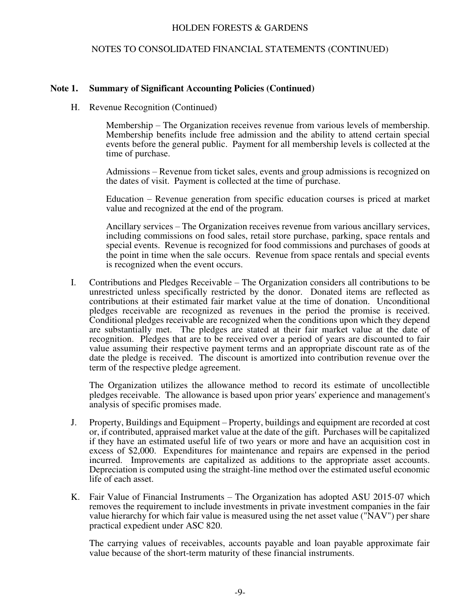# NOTES TO CONSOLIDATED FINANCIAL STATEMENTS (CONTINUED)

## **Note 1. Summary of Significant Accounting Policies (Continued)**

H. Revenue Recognition (Continued)

Membership – The Organization receives revenue from various levels of membership. Membership benefits include free admission and the ability to attend certain special events before the general public. Payment for all membership levels is collected at the time of purchase.

Admissions – Revenue from ticket sales, events and group admissions is recognized on the dates of visit. Payment is collected at the time of purchase.

Education – Revenue generation from specific education courses is priced at market value and recognized at the end of the program.

Ancillary services – The Organization receives revenue from various ancillary services, including commissions on food sales, retail store purchase, parking, space rentals and special events. Revenue is recognized for food commissions and purchases of goods at the point in time when the sale occurs. Revenue from space rentals and special events is recognized when the event occurs.

I. Contributions and Pledges Receivable – The Organization considers all contributions to be unrestricted unless specifically restricted by the donor. Donated items are reflected as contributions at their estimated fair market value at the time of donation. Unconditional pledges receivable are recognized as revenues in the period the promise is received. Conditional pledges receivable are recognized when the conditions upon which they depend are substantially met. The pledges are stated at their fair market value at the date of recognition. Pledges that are to be received over a period of years are discounted to fair value assuming their respective payment terms and an appropriate discount rate as of the date the pledge is received. The discount is amortized into contribution revenue over the term of the respective pledge agreement.

 The Organization utilizes the allowance method to record its estimate of uncollectible pledges receivable. The allowance is based upon prior years' experience and management's analysis of specific promises made.

- J. Property, Buildings and Equipment Property, buildings and equipment are recorded at cost or, if contributed, appraised market value at the date of the gift. Purchases will be capitalized if they have an estimated useful life of two years or more and have an acquisition cost in excess of \$2,000. Expenditures for maintenance and repairs are expensed in the period incurred. Improvements are capitalized as additions to the appropriate asset accounts. Depreciation is computed using the straight-line method over the estimated useful economic life of each asset.
- K. Fair Value of Financial Instruments The Organization has adopted ASU 2015-07 which removes the requirement to include investments in private investment companies in the fair value hierarchy for which fair value is measured using the net asset value ("NAV") per share practical expedient under ASC 820.

 The carrying values of receivables, accounts payable and loan payable approximate fair value because of the short-term maturity of these financial instruments.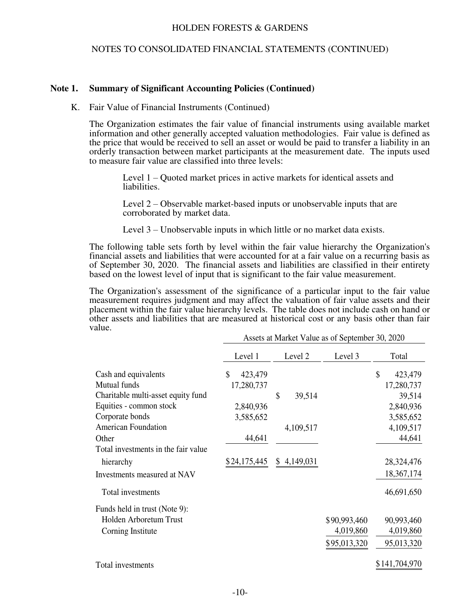#### NOTES TO CONSOLIDATED FINANCIAL STATEMENTS (CONTINUED)

#### **Note 1. Summary of Significant Accounting Policies (Continued)**

#### K. Fair Value of Financial Instruments (Continued)

 The Organization estimates the fair value of financial instruments using available market information and other generally accepted valuation methodologies. Fair value is defined as the price that would be received to sell an asset or would be paid to transfer a liability in an orderly transaction between market participants at the measurement date. The inputs used to measure fair value are classified into three levels:

Level 1 – Quoted market prices in active markets for identical assets and liabilities.

Level 2 – Observable market-based inputs or unobservable inputs that are corroborated by market data.

Level 3 – Unobservable inputs in which little or no market data exists.

 The following table sets forth by level within the fair value hierarchy the Organization's financial assets and liabilities that were accounted for at a fair value on a recurring basis as of September 30, 2020. The financial assets and liabilities are classified in their entirety based on the lowest level of input that is significant to the fair value measurement.

 The Organization's assessment of the significance of a particular input to the fair value measurement requires judgment and may affect the valuation of fair value assets and their placement within the fair value hierarchy levels. The table does not include cash on hand or other assets and liabilities that are measured at historical cost or any basis other than fair value.

|                                     | Assets at Market Value as of September 30, 2020 |              |              |               |
|-------------------------------------|-------------------------------------------------|--------------|--------------|---------------|
|                                     | Level 1                                         | Level 2      | Level 3      | Total         |
| Cash and equivalents                | \$<br>423,479                                   |              |              | \$<br>423,479 |
| Mutual funds                        | 17,280,737                                      |              |              | 17,280,737    |
| Charitable multi-asset equity fund  |                                                 | \$<br>39,514 |              | 39,514        |
| Equities - common stock             | 2,840,936                                       |              |              | 2,840,936     |
| Corporate bonds                     | 3,585,652                                       |              |              | 3,585,652     |
| <b>American Foundation</b>          |                                                 | 4,109,517    |              | 4,109,517     |
| Other                               | 44,641                                          |              |              | 44,641        |
| Total investments in the fair value |                                                 |              |              |               |
| hierarchy                           | \$24,175,445                                    | \$4,149,031  |              | 28,324,476    |
| Investments measured at NAV         |                                                 |              |              | 18,367,174    |
| Total investments                   |                                                 |              |              | 46,691,650    |
| Funds held in trust (Note 9):       |                                                 |              |              |               |
| Holden Arboretum Trust              |                                                 |              | \$90,993,460 | 90,993,460    |
| Corning Institute                   |                                                 |              | 4,019,860    | 4,019,860     |
|                                     |                                                 |              | \$95,013,320 | 95,013,320    |
| Total investments                   |                                                 |              |              | \$141,704,970 |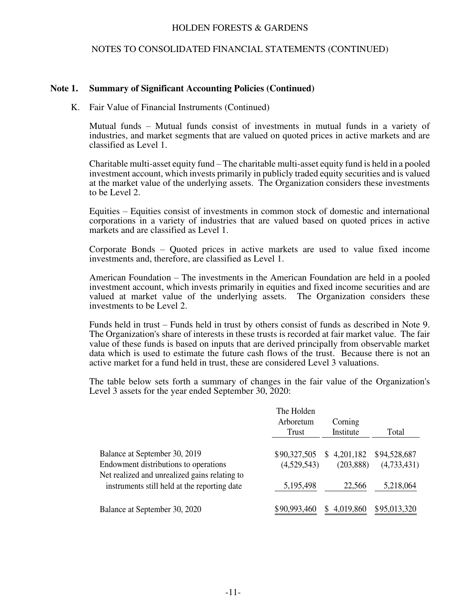### NOTES TO CONSOLIDATED FINANCIAL STATEMENTS (CONTINUED)

#### **Note 1. Summary of Significant Accounting Policies (Continued)**

#### K. Fair Value of Financial Instruments (Continued)

 Mutual funds – Mutual funds consist of investments in mutual funds in a variety of industries, and market segments that are valued on quoted prices in active markets and are classified as Level 1.

 Charitable multi-asset equity fund – The charitable multi-asset equity fund is held in a pooled investment account, which invests primarily in publicly traded equity securities and is valued at the market value of the underlying assets. The Organization considers these investments to be Level 2.

 Equities – Equities consist of investments in common stock of domestic and international corporations in a variety of industries that are valued based on quoted prices in active markets and are classified as Level 1.

 Corporate Bonds – Quoted prices in active markets are used to value fixed income investments and, therefore, are classified as Level 1.

 American Foundation – The investments in the American Foundation are held in a pooled investment account, which invests primarily in equities and fixed income securities and are valued at market value of the underlying assets. The Organization considers these investments to be Level 2.

 Funds held in trust – Funds held in trust by others consist of funds as described in Note 9. The Organization's share of interests in these trusts is recorded at fair market value. The fair value of these funds is based on inputs that are derived principally from observable market data which is used to estimate the future cash flows of the trust. Because there is not an active market for a fund held in trust, these are considered Level 3 valuations.

 The table below sets forth a summary of changes in the fair value of the Organization's Level 3 assets for the year ended September 30, 2020:

|                                               | The Holden<br>Arboretum<br>Trust | Corning<br>Institute | Total        |
|-----------------------------------------------|----------------------------------|----------------------|--------------|
|                                               |                                  |                      |              |
| Balance at September 30, 2019                 | \$90,327,505                     | \$4,201,182          | \$94,528,687 |
| Endowment distributions to operations         | (4,529,543)                      | (203, 888)           | (4,733,431)  |
| Net realized and unrealized gains relating to |                                  |                      |              |
| instruments still held at the reporting date  | 5,195,498                        | 22,566               | 5,218,064    |
|                                               |                                  |                      |              |
| Balance at September 30, 2020                 | \$90,993,460                     | 4,019,860            | \$95,013,320 |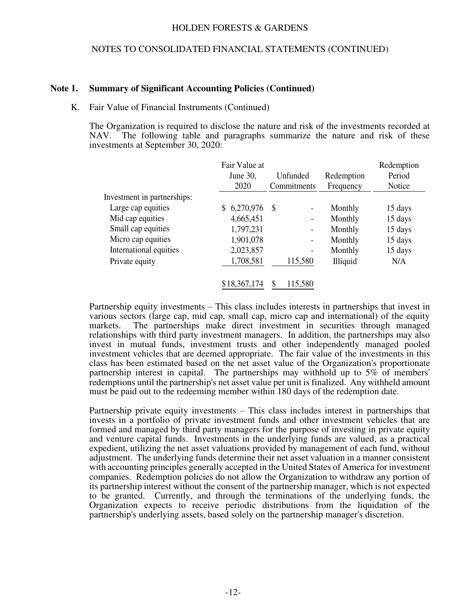#### NOTES TO CONSOLIDATED FINANCIAL STATEMENTS (CONTINUED)

#### **Note 1. Summary of Significant Accounting Policies (Continued)**

#### K. Fair Value of Financial Instruments (Continued)

 The Organization is required to disclose the nature and risk of the investments recorded at NAV. The following table and paragraphs summarize the nature and risk of these investments at September 30, 2020:

|                             | Fair Value at |               |                 | Redemption |
|-----------------------------|---------------|---------------|-----------------|------------|
|                             | June 30,      | Unfunded      | Redemption      | Period     |
|                             | 2020          | Commitments   | Frequency       | Notice     |
| Investment in partnerships: |               |               |                 |            |
| Large cap equities          | 6,270,976     | -S            | Monthly         | 15 days    |
| Mid cap equities            | 4,665,451     |               | Monthly         | 15 days    |
| Small cap equities          | 1,797,231     |               | Monthly         | 15 days    |
| Micro cap equities          | 1,901,078     |               | Monthly         | 15 days    |
| International equities      | 2,023,857     |               | Monthly         | 15 days    |
| Private equity              | 1,708,581     | 115,580       | <b>Illiquid</b> | N/A        |
|                             | \$18,367,174  | \$<br>115,580 |                 |            |

 Partnership equity investments – This class includes interests in partnerships that invest in various sectors (large cap, mid cap, small cap, micro cap and international) of the equity markets. The partnerships make direct investment in securities through managed relationships with third party investment managers. In addition, the partnerships may also invest in mutual funds, investment trusts and other independently managed pooled investment vehicles that are deemed appropriate. The fair value of the investments in this class has been estimated based on the net asset value of the Organization's proportionate partnership interest in capital. The partnerships may withhold up to 5% of members' redemptions until the partnership's net asset value per unit is finalized. Any withheld amount must be paid out to the redeeming member within 180 days of the redemption date.

 Partnership private equity investments – This class includes interest in partnerships that invests in a portfolio of private investment funds and other investment vehicles that are formed and managed by third party managers for the purpose of investing in private equity and venture capital funds. Investments in the underlying funds are valued, as a practical expedient, utilizing the net asset valuations provided by management of each fund, without adjustment. The underlying funds determine their net asset valuation in a manner consistent with accounting principles generally accepted in the United States of America for investment companies. Redemption policies do not allow the Organization to withdraw any portion of its partnership interest without the consent of the partnership manager, which is not expected to be granted. Currently, and through the terminations of the underlying funds, the Organization expects to receive periodic distributions from the liquidation of the partnership's underlying assets, based solely on the partnership manager's discretion.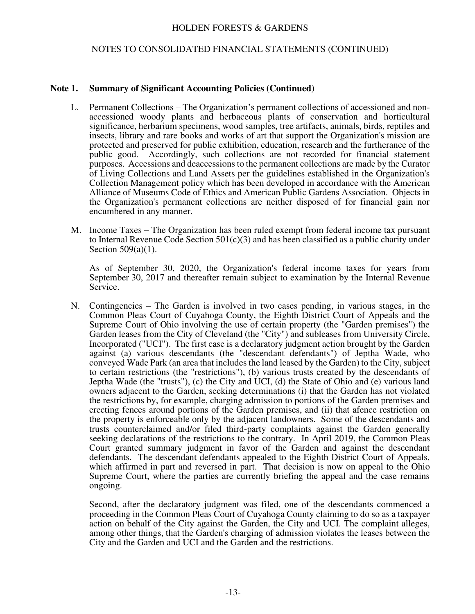# NOTES TO CONSOLIDATED FINANCIAL STATEMENTS (CONTINUED)

### **Note 1. Summary of Significant Accounting Policies (Continued)**

- L. Permanent Collections The Organization's permanent collections of accessioned and nonaccessioned woody plants and herbaceous plants of conservation and horticultural significance, herbarium specimens, wood samples, tree artifacts, animals, birds, reptiles and insects, library and rare books and works of art that support the Organization's mission are protected and preserved for public exhibition, education, research and the furtherance of the public good. Accordingly, such collections are not recorded for financial statement purposes. Accessions and deaccessions to the permanent collections are made by the Curator of Living Collections and Land Assets per the guidelines established in the Organization's Collection Management policy which has been developed in accordance with the American Alliance of Museums Code of Ethics and American Public Gardens Association. Objects in the Organization's permanent collections are neither disposed of for financial gain nor encumbered in any manner.
- M. Income Taxes The Organization has been ruled exempt from federal income tax pursuant to Internal Revenue Code Section  $501(c)(3)$  and has been classified as a public charity under Section  $509(a)(1)$ .

 As of September 30, 2020, the Organization's federal income taxes for years from September 30, 2017 and thereafter remain subject to examination by the Internal Revenue Service.

N. Contingencies – The Garden is involved in two cases pending, in various stages, in the Common Pleas Court of Cuyahoga County, the Eighth District Court of Appeals and the Supreme Court of Ohio involving the use of certain property (the "Garden premises") the Garden leases from the City of Cleveland (the "City") and subleases from University Circle, Incorporated ("UCI"). The first case is a declaratory judgment action brought by the Garden against (a) various descendants (the "descendant defendants") of Jeptha Wade, who conveyed Wade Park (an area that includes the land leased by the Garden) to the City, subject to certain restrictions (the "restrictions"), (b) various trusts created by the descendants of Jeptha Wade (the "trusts"), (c) the City and UCI, (d) the State of Ohio and (e) various land owners adjacent to the Garden, seeking determinations (i) that the Garden has not violated the restrictions by, for example, charging admission to portions of the Garden premises and erecting fences around portions of the Garden premises, and (ii) that afence restriction on the property is enforceable only by the adjacent landowners. Some of the descendants and trusts counterclaimed and/or filed third-party complaints against the Garden generally seeking declarations of the restrictions to the contrary. In April 2019, the Common Pleas Court granted summary judgment in favor of the Garden and against the descendant defendants. The descendant defendants appealed to the Eighth District Court of Appeals, which affirmed in part and reversed in part. That decision is now on appeal to the Ohio Supreme Court, where the parties are currently briefing the appeal and the case remains ongoing.

 Second, after the declaratory judgment was filed, one of the descendants commenced a proceeding in the Common Pleas Court of Cuyahoga County claiming to do so as a taxpayer action on behalf of the City against the Garden, the City and UCI. The complaint alleges, among other things, that the Garden's charging of admission violates the leases between the City and the Garden and UCI and the Garden and the restrictions.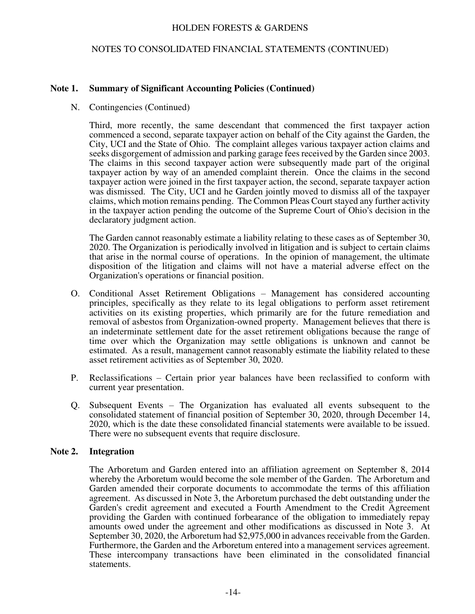# NOTES TO CONSOLIDATED FINANCIAL STATEMENTS (CONTINUED)

## **Note 1. Summary of Significant Accounting Policies (Continued)**

#### N. Contingencies (Continued)

 Third, more recently, the same descendant that commenced the first taxpayer action commenced a second, separate taxpayer action on behalf of the City against the Garden, the City, UCI and the State of Ohio. The complaint alleges various taxpayer action claims and seeks disgorgement of admission and parking garage fees received by the Garden since 2003. The claims in this second taxpayer action were subsequently made part of the original taxpayer action by way of an amended complaint therein. Once the claims in the second taxpayer action were joined in the first taxpayer action, the second, separate taxpayer action was dismissed. The City, UCI and he Garden jointly moved to dismiss all of the taxpayer claims, which motion remains pending. The Common Pleas Court stayed any further activity in the taxpayer action pending the outcome of the Supreme Court of Ohio's decision in the declaratory judgment action.

 The Garden cannot reasonably estimate a liability relating to these cases as of September 30, 2020. The Organization is periodically involved in litigation and is subject to certain claims that arise in the normal course of operations. In the opinion of management, the ultimate disposition of the litigation and claims will not have a material adverse effect on the Organization's operations or financial position.

- O. Conditional Asset Retirement Obligations Management has considered accounting principles, specifically as they relate to its legal obligations to perform asset retirement activities on its existing properties, which primarily are for the future remediation and removal of asbestos from Organization-owned property. Management believes that there is an indeterminate settlement date for the asset retirement obligations because the range of time over which the Organization may settle obligations is unknown and cannot be estimated. As a result, management cannot reasonably estimate the liability related to these asset retirement activities as of September 30, 2020.
- P. Reclassifications Certain prior year balances have been reclassified to conform with current year presentation.
- Q. Subsequent Events The Organization has evaluated all events subsequent to the consolidated statement of financial position of September 30, 2020, through December 14, 2020, which is the date these consolidated financial statements were available to be issued. There were no subsequent events that require disclosure.

#### **Note 2. Integration**

The Arboretum and Garden entered into an affiliation agreement on September 8, 2014 whereby the Arboretum would become the sole member of the Garden. The Arboretum and Garden amended their corporate documents to accommodate the terms of this affiliation agreement. As discussed in Note 3, the Arboretum purchased the debt outstanding under the Garden's credit agreement and executed a Fourth Amendment to the Credit Agreement providing the Garden with continued forbearance of the obligation to immediately repay amounts owed under the agreement and other modifications as discussed in Note 3. At September 30, 2020, the Arboretum had \$2,975,000 in advances receivable from the Garden. Furthermore, the Garden and the Arboretum entered into a management services agreement. These intercompany transactions have been eliminated in the consolidated financial statements.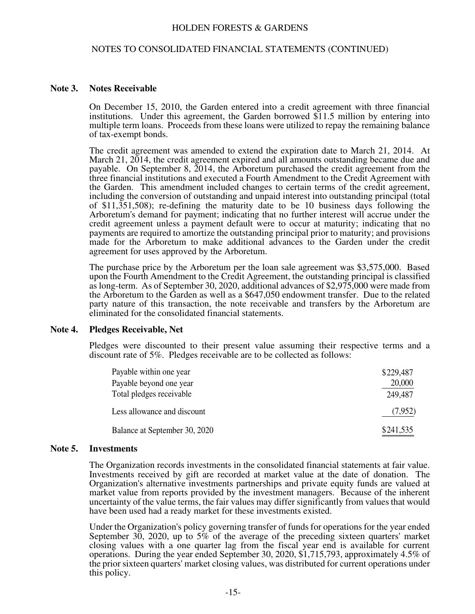#### NOTES TO CONSOLIDATED FINANCIAL STATEMENTS (CONTINUED)

#### **Note 3. Notes Receivable**

On December 15, 2010, the Garden entered into a credit agreement with three financial institutions. Under this agreement, the Garden borrowed \$11.5 million by entering into multiple term loans. Proceeds from these loans were utilized to repay the remaining balance of tax-exempt bonds.

The credit agreement was amended to extend the expiration date to March 21, 2014. At March 21, 2014, the credit agreement expired and all amounts outstanding became due and payable. On September 8, 2014, the Arboretum purchased the credit agreement from the three financial institutions and executed a Fourth Amendment to the Credit Agreement with the Garden. This amendment included changes to certain terms of the credit agreement, including the conversion of outstanding and unpaid interest into outstanding principal (total of \$11,351,508); re-defining the maturity date to be 10 business days following the Arboretum's demand for payment; indicating that no further interest will accrue under the credit agreement unless a payment default were to occur at maturity; indicating that no payments are required to amortize the outstanding principal prior to maturity; and provisions made for the Arboretum to make additional advances to the Garden under the credit agreement for uses approved by the Arboretum.

The purchase price by the Arboretum per the loan sale agreement was \$3,575,000. Based upon the Fourth Amendment to the Credit Agreement, the outstanding principal is classified as long-term. As of September 30, 2020, additional advances of \$2,975,000 were made from the Arboretum to the Garden as well as a \$647,050 endowment transfer. Due to the related party nature of this transaction, the note receivable and transfers by the Arboretum are eliminated for the consolidated financial statements.

#### **Note 4. Pledges Receivable, Net**

Pledges were discounted to their present value assuming their respective terms and a discount rate of 5%. Pledges receivable are to be collected as follows:

| Payable within one year       | \$229,487 |
|-------------------------------|-----------|
| Payable beyond one year       | 20,000    |
| Total pledges receivable      | 249,487   |
| Less allowance and discount   | (7,952)   |
| Balance at September 30, 2020 | \$241,535 |

#### **Note 5. Investments**

The Organization records investments in the consolidated financial statements at fair value. Investments received by gift are recorded at market value at the date of donation. The Organization's alternative investments partnerships and private equity funds are valued at market value from reports provided by the investment managers. Because of the inherent uncertainty of the value terms, the fair values may differ significantly from values that would have been used had a ready market for these investments existed.

Under the Organization's policy governing transfer of funds for operations for the year ended September 30, 2020, up to 5% of the average of the preceding sixteen quarters' market closing values with a one quarter lag from the fiscal year end is available for current operations. During the year ended September 30, 2020, \$1,715,793, approximately 4.5% of the prior sixteen quarters' market closing values, was distributed for current operations under this policy.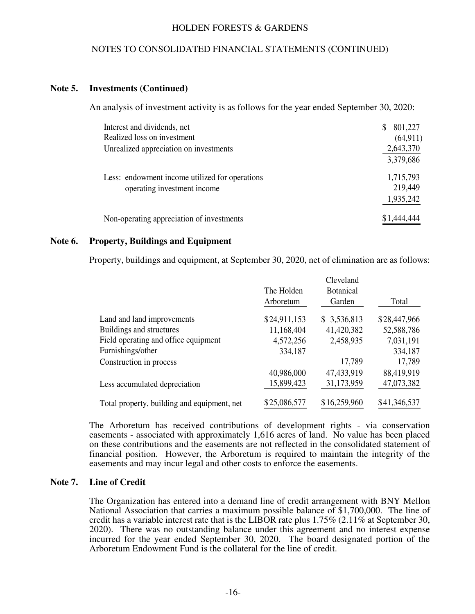# NOTES TO CONSOLIDATED FINANCIAL STATEMENTS (CONTINUED)

# **Note 5. Investments (Continued)**

An analysis of investment activity is as follows for the year ended September 30, 2020:

| Interest and dividends, net                    | 801,227<br>\$. |
|------------------------------------------------|----------------|
| Realized loss on investment                    | (64, 911)      |
| Unrealized appreciation on investments         | 2,643,370      |
|                                                | 3,379,686      |
| Less: endowment income utilized for operations | 1,715,793      |
| operating investment income                    | 219,449        |
|                                                | 1,935,242      |
| Non-operating appreciation of investments      | \$1,444,444    |

# **Note 6. Property, Buildings and Equipment**

Property, buildings and equipment, at September 30, 2020, net of elimination are as follows:

|                                             | The Holden<br>Arboretum | Cleveland<br><b>Botanical</b><br>Garden | Total        |
|---------------------------------------------|-------------------------|-----------------------------------------|--------------|
| Land and land improvements                  | \$24,911,153            | \$3,536,813                             | \$28,447,966 |
| Buildings and structures                    | 11,168,404              | 41,420,382                              | 52,588,786   |
| Field operating and office equipment        | 4,572,256               | 2,458,935                               | 7,031,191    |
| Furnishings/other                           | 334,187                 |                                         | 334,187      |
| Construction in process                     |                         | 17,789                                  | 17,789       |
|                                             | 40,986,000              | 47,433,919                              | 88,419,919   |
| Less accumulated depreciation               | 15,899,423              | 31,173,959                              | 47,073,382   |
| Total property, building and equipment, net | \$25,086,577            | \$16,259,960                            | \$41,346,537 |

The Arboretum has received contributions of development rights - via conservation easements - associated with approximately 1,616 acres of land. No value has been placed on these contributions and the easements are not reflected in the consolidated statement of financial position. However, the Arboretum is required to maintain the integrity of the easements and may incur legal and other costs to enforce the easements.

# **Note 7. Line of Credit**

The Organization has entered into a demand line of credit arrangement with BNY Mellon National Association that carries a maximum possible balance of \$1,700,000. The line of credit has a variable interest rate that is the LIBOR rate plus 1.75% (2.11% at September 30, 2020). There was no outstanding balance under this agreement and no interest expense incurred for the year ended September 30, 2020. The board designated portion of the Arboretum Endowment Fund is the collateral for the line of credit.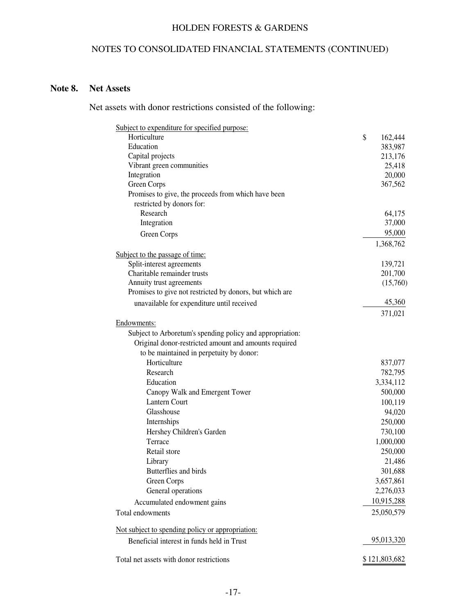# NOTES TO CONSOLIDATED FINANCIAL STATEMENTS (CONTINUED)

# **Note 8. Net Assets**

Net assets with donor restrictions consisted of the following:

| Subject to expenditure for specified purpose:             |               |
|-----------------------------------------------------------|---------------|
| Horticulture                                              | \$<br>162,444 |
| Education                                                 | 383,987       |
| Capital projects                                          | 213,176       |
| Vibrant green communities                                 | 25,418        |
| Integration                                               | 20,000        |
| Green Corps                                               | 367,562       |
| Promises to give, the proceeds from which have been       |               |
| restricted by donors for:                                 |               |
| Research                                                  | 64,175        |
| Integration                                               | 37,000        |
| Green Corps                                               | 95,000        |
|                                                           | 1,368,762     |
| Subject to the passage of time:                           |               |
| Split-interest agreements                                 | 139,721       |
| Charitable remainder trusts                               | 201,700       |
| Annuity trust agreements                                  | (15,760)      |
| Promises to give not restricted by donors, but which are  |               |
| unavailable for expenditure until received                | 45,360        |
|                                                           | 371,021       |
| Endowments:                                               |               |
| Subject to Arboretum's spending policy and appropriation: |               |
| Original donor-restricted amount and amounts required     |               |
| to be maintained in perpetuity by donor:                  |               |
| Horticulture                                              | 837,077       |
| Research                                                  | 782,795       |
| Education                                                 | 3,334,112     |
| Canopy Walk and Emergent Tower                            | 500,000       |
| <b>Lantern Court</b>                                      | 100,119       |
| Glasshouse                                                | 94,020        |
| Internships                                               | 250,000       |
| Hershey Children's Garden                                 | 730,100       |
| Terrace                                                   | 1,000,000     |
| Retail store                                              | 250,000       |
| Library                                                   | 21,486        |
| Butterflies and birds                                     | 301,688       |
| Green Corps                                               | 3,657,861     |
| General operations                                        | 2,276,033     |
|                                                           |               |
| Accumulated endowment gains                               | 10,915,288    |
| Total endowments                                          | 25,050,579    |
| Not subject to spending policy or appropriation:          |               |
| Beneficial interest in funds held in Trust                | 95,013,320    |
| Total net assets with donor restrictions                  | \$121,803,682 |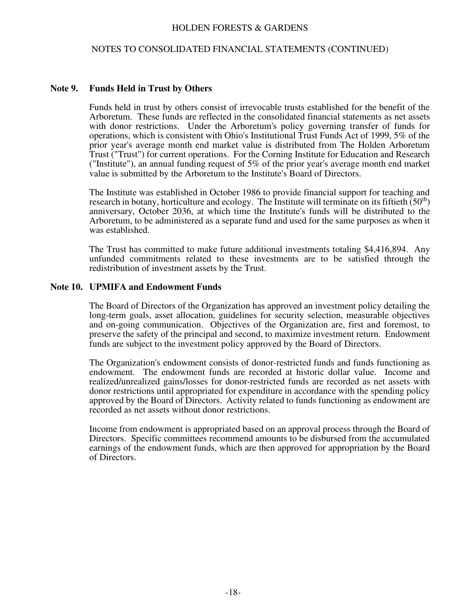## NOTES TO CONSOLIDATED FINANCIAL STATEMENTS (CONTINUED)

### **Note 9. Funds Held in Trust by Others**

Funds held in trust by others consist of irrevocable trusts established for the benefit of the Arboretum. These funds are reflected in the consolidated financial statements as net assets with donor restrictions. Under the Arboretum's policy governing transfer of funds for operations, which is consistent with Ohio's Institutional Trust Funds Act of 1999, 5% of the prior year's average month end market value is distributed from The Holden Arboretum Trust ("Trust") for current operations. For the Corning Institute for Education and Research ("Institute"), an annual funding request of 5% of the prior year's average month end market value is submitted by the Arboretum to the Institute's Board of Directors.

The Institute was established in October 1986 to provide financial support for teaching and research in botany, horticulture and ecology. The Institute will terminate on its fiftieth  $(50<sup>th</sup>)$ anniversary, October 2036, at which time the Institute's funds will be distributed to the Arboretum, to be administered as a separate fund and used for the same purposes as when it was established.

The Trust has committed to make future additional investments totaling \$4,416,894. Any unfunded commitments related to these investments are to be satisfied through the redistribution of investment assets by the Trust.

#### **Note 10. UPMIFA and Endowment Funds**

The Board of Directors of the Organization has approved an investment policy detailing the long-term goals, asset allocation, guidelines for security selection, measurable objectives and on-going communication. Objectives of the Organization are, first and foremost, to preserve the safety of the principal and second, to maximize investment return. Endowment funds are subject to the investment policy approved by the Board of Directors.

The Organization's endowment consists of donor-restricted funds and funds functioning as endowment. The endowment funds are recorded at historic dollar value. Income and realized/unrealized gains/losses for donor-restricted funds are recorded as net assets with donor restrictions until appropriated for expenditure in accordance with the spending policy approved by the Board of Directors. Activity related to funds functioning as endowment are recorded as net assets without donor restrictions.

Income from endowment is appropriated based on an approval process through the Board of Directors. Specific committees recommend amounts to be disbursed from the accumulated earnings of the endowment funds, which are then approved for appropriation by the Board of Directors.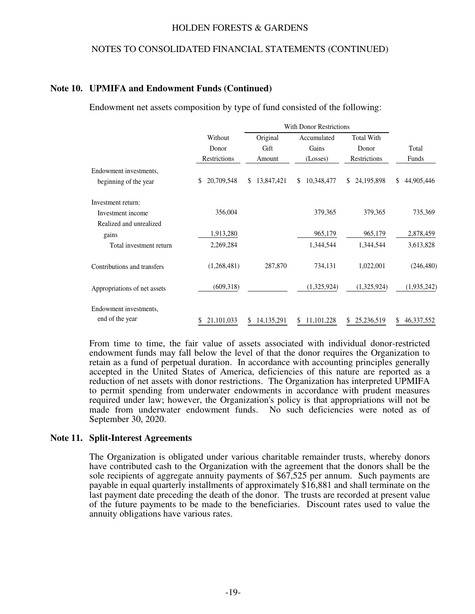### NOTES TO CONSOLIDATED FINANCIAL STATEMENTS (CONTINUED)

#### **Note 10. UPMIFA and Endowment Funds (Continued)**

Endowment net assets composition by type of fund consisted of the following:

|                              |                                  | <b>With Donor Restrictions</b> |                                  |                                            |                  |
|------------------------------|----------------------------------|--------------------------------|----------------------------------|--------------------------------------------|------------------|
|                              | Without<br>Donor<br>Restrictions | Original<br>Gift<br>Amount     | Accumulated<br>Gains<br>(Losses) | <b>Total With</b><br>Donor<br>Restrictions | Total<br>Funds   |
|                              |                                  |                                |                                  |                                            |                  |
|                              |                                  |                                |                                  |                                            |                  |
| Endowment investments,       |                                  |                                |                                  |                                            |                  |
| beginning of the year        | 20,709,548<br>\$                 | 13,847,421<br>S                | 10,348,477<br>\$.                | 24, 195, 898<br>\$                         | 44,905,446<br>\$ |
| Investment return:           |                                  |                                |                                  |                                            |                  |
| Investment income            | 356,004                          |                                | 379,365                          | 379,365                                    | 735,369          |
| Realized and unrealized      |                                  |                                |                                  |                                            |                  |
| gains                        | 1,913,280                        |                                | 965,179                          | 965,179                                    | 2,878,459        |
| Total investment return      | 2,269,284                        |                                | 1,344,544                        | 1,344,544                                  | 3,613,828        |
| Contributions and transfers  | (1,268,481)                      | 287,870                        | 734,131                          | 1,022,001                                  | (246, 480)       |
| Appropriations of net assets | (609,318)                        |                                | (1,325,924)                      | (1,325,924)                                | (1,935,242)      |
| Endowment investments,       |                                  |                                |                                  |                                            |                  |
| end of the year              | 21,101,033<br>\$                 | 14, 135, 291<br>\$             | 11, 101, 228<br>S.               | 25,236,519<br>S                            | 46,337,552<br>\$ |

From time to time, the fair value of assets associated with individual donor-restricted endowment funds may fall below the level of that the donor requires the Organization to retain as a fund of perpetual duration. In accordance with accounting principles generally accepted in the United States of America, deficiencies of this nature are reported as a reduction of net assets with donor restrictions. The Organization has interpreted UPMIFA to permit spending from underwater endowments in accordance with prudent measures required under law; however, the Organization's policy is that appropriations will not be made from underwater endowment funds. No such deficiencies were noted as of September 30, 2020.

## **Note 11. Split-Interest Agreements**

The Organization is obligated under various charitable remainder trusts, whereby donors have contributed cash to the Organization with the agreement that the donors shall be the sole recipients of aggregate annuity payments of \$67,525 per annum. Such payments are payable in equal quarterly installments of approximately \$16,881 and shall terminate on the last payment date preceding the death of the donor. The trusts are recorded at present value of the future payments to be made to the beneficiaries. Discount rates used to value the annuity obligations have various rates.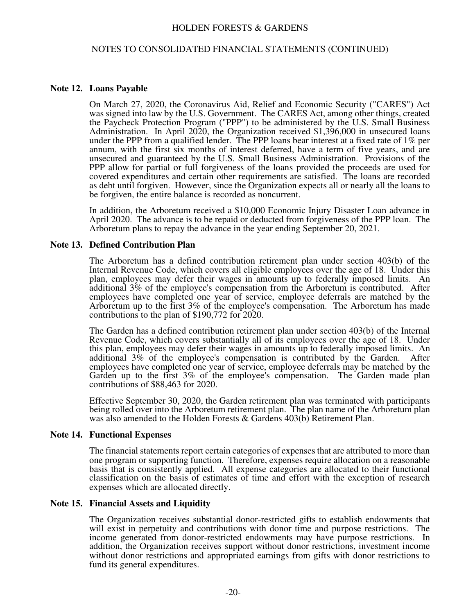#### NOTES TO CONSOLIDATED FINANCIAL STATEMENTS (CONTINUED)

#### **Note 12. Loans Payable**

On March 27, 2020, the Coronavirus Aid, Relief and Economic Security ("CARES") Act was signed into law by the U.S. Government. The CARES Act, among other things, created the Paycheck Protection Program ("PPP") to be administered by the U.S. Small Business Administration. In April 2020, the Organization received \$1,396,000 in unsecured loans under the PPP from a qualified lender. The PPP loans bear interest at a fixed rate of 1% per annum, with the first six months of interest deferred, have a term of five years, and are unsecured and guaranteed by the U.S. Small Business Administration. Provisions of the PPP allow for partial or full forgiveness of the loans provided the proceeds are used for covered expenditures and certain other requirements are satisfied. The loans are recorded as debt until forgiven. However, since the Organization expects all or nearly all the loans to be forgiven, the entire balance is recorded as noncurrent.

In addition, the Arboretum received a \$10,000 Economic Injury Disaster Loan advance in April 2020. The advance is to be repaid or deducted from forgiveness of the PPP loan. The Arboretum plans to repay the advance in the year ending September 20, 2021.

#### **Note 13. Defined Contribution Plan**

The Arboretum has a defined contribution retirement plan under section 403(b) of the Internal Revenue Code, which covers all eligible employees over the age of 18. Under this plan, employees may defer their wages in amounts up to federally imposed limits. An additional 3% of the employee's compensation from the Arboretum is contributed. After employees have completed one year of service, employee deferrals are matched by the Arboretum up to the first 3% of the employee's compensation. The Arboretum has made contributions to the plan of \$190,772 for 2020.

The Garden has a defined contribution retirement plan under section 403(b) of the Internal Revenue Code, which covers substantially all of its employees over the age of 18. Under this plan, employees may defer their wages in amounts up to federally imposed limits. An additional  $3\%$  of the employee's compensation is contributed by the Garden. After employees have completed one year of service, employee deferrals may be matched by the Garden up to the first 3% of the employee's compensation. The Garden made plan contributions of \$88,463 for 2020.

Effective September 30, 2020, the Garden retirement plan was terminated with participants being rolled over into the Arboretum retirement plan. The plan name of the Arboretum plan was also amended to the Holden Forests & Gardens 403(b) Retirement Plan.

#### **Note 14. Functional Expenses**

The financial statements report certain categories of expenses that are attributed to more than one program or supporting function. Therefore, expenses require allocation on a reasonable basis that is consistently applied. All expense categories are allocated to their functional classification on the basis of estimates of time and effort with the exception of research expenses which are allocated directly.

#### **Note 15. Financial Assets and Liquidity**

The Organization receives substantial donor-restricted gifts to establish endowments that will exist in perpetuity and contributions with donor time and purpose restrictions. The income generated from donor-restricted endowments may have purpose restrictions. In addition, the Organization receives support without donor restrictions, investment income without donor restrictions and appropriated earnings from gifts with donor restrictions to fund its general expenditures.